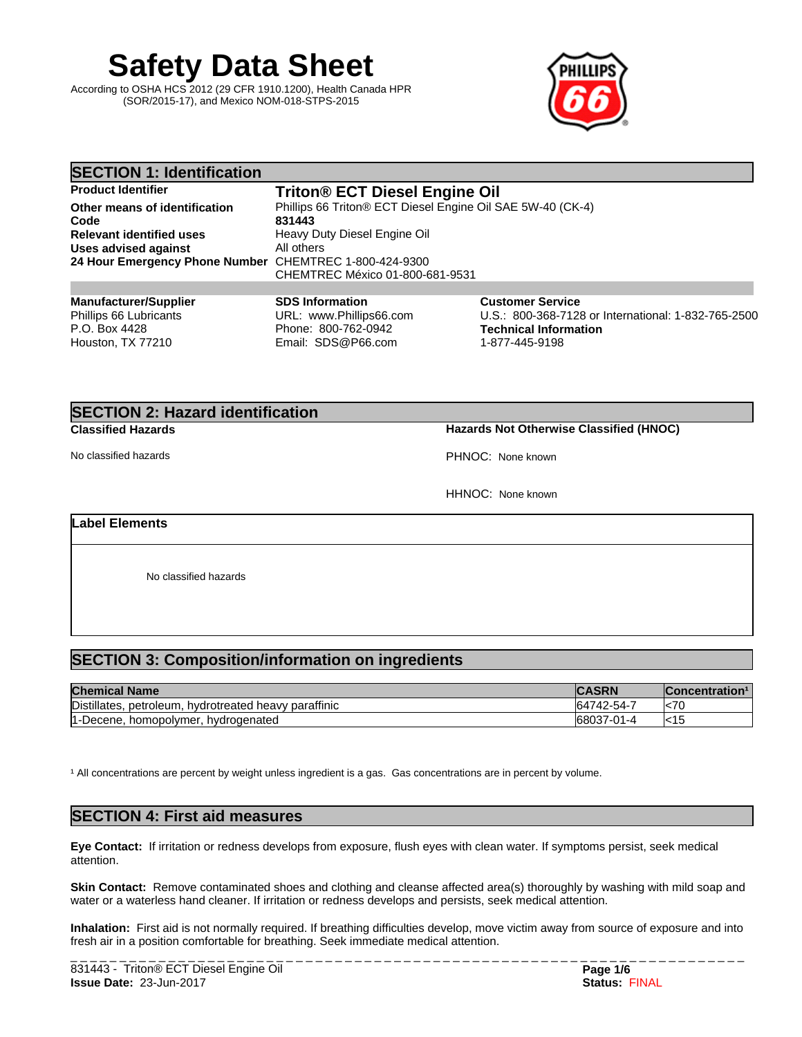**Safety Data Sheet**

According to OSHA HCS 2012 (29 CFR 1910.1200), Health Canada HPR (SOR/2015-17), and Mexico NOM-018-STPS-2015



| <b>SECTION 1: Identification</b>                       |                                                            |                                                     |
|--------------------------------------------------------|------------------------------------------------------------|-----------------------------------------------------|
| <b>Product Identifier</b>                              | <b>Triton® ECT Diesel Engine Oil</b>                       |                                                     |
| Other means of identification                          | Phillips 66 Triton® ECT Diesel Engine Oil SAE 5W-40 (CK-4) |                                                     |
| Code                                                   | 831443                                                     |                                                     |
| <b>Relevant identified uses</b>                        | Heavy Duty Diesel Engine Oil                               |                                                     |
| <b>Uses advised against</b>                            | All others                                                 |                                                     |
| 24 Hour Emergency Phone Number CHEMTREC 1-800-424-9300 |                                                            |                                                     |
|                                                        | CHEMTREC México 01-800-681-9531                            |                                                     |
|                                                        |                                                            |                                                     |
| <b>Manufacturer/Supplier</b>                           | <b>SDS Information</b>                                     | <b>Customer Service</b>                             |
| Phillips 66 Lubricants                                 | URL: www.Phillips66.com                                    | U.S.: 800-368-7128 or International: 1-832-765-2500 |
| P.O. Box 4428                                          | Phone: 800-762-0942                                        | Technical Information                               |

Email: SDS@P66.com

# **SECTION 2: Hazard identification**

Houston, TX 77210

**Classified Hazards Hazards Not Otherwise Classified (HNOC)**

No classified hazards **PHNOC:** None known

1-877-445-9198

HHNOC: None known

### **Label Elements**

No classified hazards

## **SECTION 3: Composition/information on ingredients**

| <b>Chemical Name</b>                                              | <b>CDN</b><br>AJRIN | ∄Concentration™ |
|-------------------------------------------------------------------|---------------------|-----------------|
| Distillates,<br><br>. hvdrotreated heavv paraffinic<br>petroleum. | $.742 - 54 - 7$     | k <sub>70</sub> |
| -Decene, homopolymer, hydrogenated                                | 68037-01-4          | $\mathsf{K}$ 15 |

<sup>1</sup> All concentrations are percent by weight unless ingredient is a gas. Gas concentrations are in percent by volume.

### **SECTION 4: First aid measures**

**Eye Contact:** Ifirritation or redness develops from exposure, flush eyes with clean water. If symptoms persist, seek medical attention.

**Skin Contact:** Remove contaminated shoes and clothing and cleanse affected area(s) thoroughly by washing with mild soap and water or a waterless hand cleaner. If irritation or redness develops and persists, seek medical attention.

Inhalation: First aid is not normally required. If breathing difficulties develop, move victim away from source of exposure and into fresh air in a position comfortable for breathing. Seek immediate medical attention.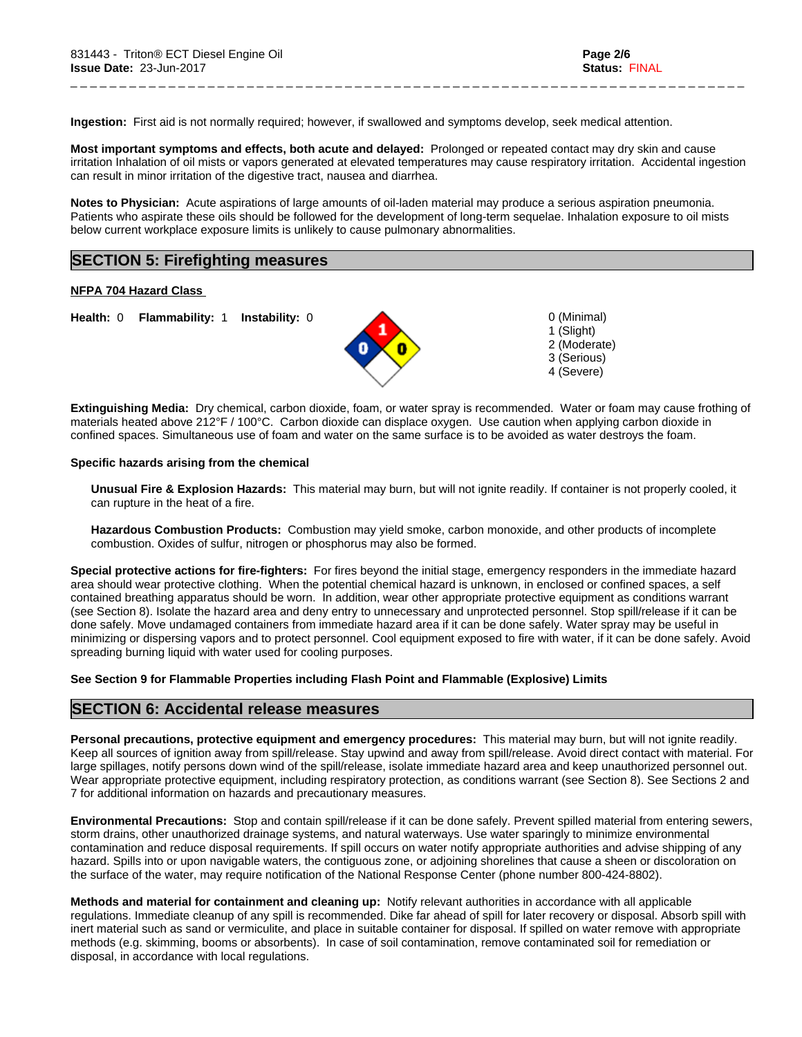**Ingestion:** First aid is not normally required; however, if swallowed and symptoms develop, seek medical attention.

**Most important symptoms and effects, both acute and delayed:** Prolonged or repeated contact may dry skin and cause irritation Inhalation of oil mists or vapors generated at elevated temperatures may cause respiratory irritation. Accidental ingestion can result in minor irritation of the digestive tract, nausea and diarrhea.

\_ \_ \_ \_ \_ \_ \_ \_ \_ \_ \_ \_ \_ \_ \_ \_ \_ \_ \_ \_ \_ \_ \_ \_ \_ \_ \_ \_ \_ \_ \_ \_ \_ \_ \_ \_ \_ \_ \_ \_ \_ \_ \_ \_ \_ \_ \_ \_ \_ \_ \_ \_ \_ \_ \_ \_ \_ \_ \_ \_ \_ \_ \_ \_ \_ \_ \_ \_ \_

**Notes to Physician:**Acute aspirations of large amounts of oil-laden material may produce a serious aspiration pneumonia. Patients who aspirate these oils should be followed for the development of long-term sequelae. Inhalation exposure to oil mists below current workplace exposure limits is unlikely to cause pulmonary abnormalities.

### **SECTION 5: Firefighting measures**

#### **NFPA 704 Hazard Class**

**Health:** 0 **Flammability:** 1 **Instability:** 0 0 (Minimal)



1 (Slight) 2 (Moderate) 3 (Serious) 4 (Severe)

**Extinguishing Media:** Dry chemical, carbon dioxide, foam, or water spray is recommended. Water or foam may cause frothing of materials heated above 212°F / 100°C. Carbon dioxide can displace oxygen. Use caution when applying carbon dioxide in confined spaces. Simultaneous use of foam and water on the same surface is to be avoided as water destroys the foam.

#### **Specific hazards arising from the chemical**

**Unusual Fire & Explosion Hazards:** This material may burn, butwill not ignite readily. If container is not properly cooled, it can rupture in the heat of a fire.

**Hazardous Combustion Products:** Combustion may yield smoke, carbon monoxide, and other products of incomplete combustion. Oxides of sulfur, nitrogen or phosphorus may also be formed.

**Special protective actions for fire-fighters:** For fires beyond the initial stage, emergency responders in the immediate hazard area should wear protective clothing. When the potential chemical hazard is unknown, in enclosed or confined spaces, a self contained breathing apparatus should be worn. In addition, wear other appropriate protective equipment as conditions warrant (see Section 8). Isolate the hazard area and deny entry to unnecessary and unprotected personnel. Stop spill/release if it can be done safely. Move undamaged containers from immediate hazard area if it can be done safely. Water spray may be useful in minimizing or dispersing vapors and to protect personnel. Cool equipment exposed to fire with water, if it can be done safely. Avoid spreading burning liquid with water used for cooling purposes.

#### **See Section 9 for Flammable Properties including Flash Point and Flammable (Explosive) Limits**

### **SECTION 6: Accidental release measures**

**Personal precautions, protective equipment and emergency procedures:** This material may burn, butwill not ignite readily. Keep all sources of ignition away from spill/release. Stay upwind and away from spill/release. Avoid direct contact with material. For large spillages, notify persons down wind of the spill/release, isolate immediate hazard area and keep unauthorized personnel out. Wear appropriate protective equipment, including respiratory protection, as conditions warrant (see Section 8). See Sections 2 and 7 for additional information on hazards and precautionary measures.

**Environmental Precautions:** Stop and contain spill/release if it can be done safely. Prevent spilled material from entering sewers, storm drains, other unauthorized drainage systems, and natural waterways. Use water sparingly to minimize environmental contamination and reduce disposal requirements. If spill occurs on water notify appropriate authorities and advise shipping of any hazard. Spills into or upon navigable waters, the contiguous zone, or adjoining shorelines that cause a sheen or discoloration on the surface of the water, may require notification of the National Response Center (phone number 800-424-8802).

**Methods and material for containment and cleaning up:** Notify relevant authorities in accordance with all applicable regulations. Immediate cleanup of any spill is recommended. Dike far ahead of spill for later recovery or disposal. Absorb spill with inert material such as sand or vermiculite, and place in suitable container for disposal. If spilled on water remove with appropriate methods (e.g. skimming, booms or absorbents). In case of soil contamination, remove contaminated soil for remediation or disposal, in accordance with local regulations.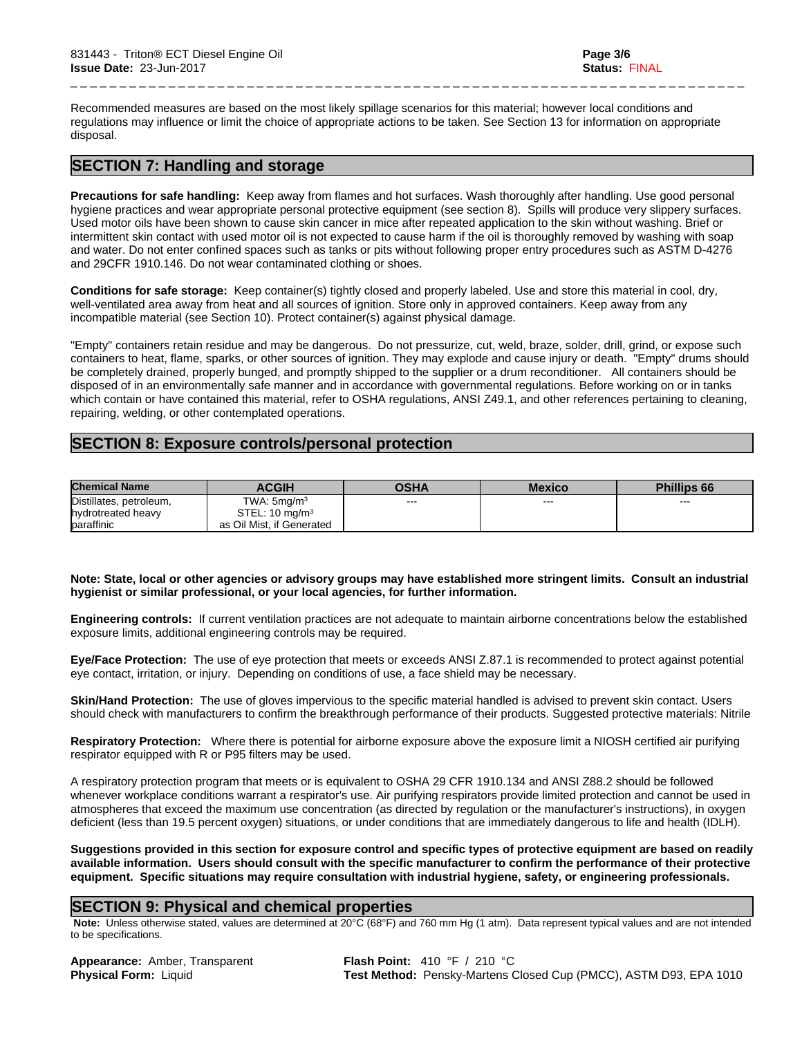Recommended measures are based on the most likely spillage scenarios for this material; however local conditions and regulations may influence or limit the choice of appropriate actions to be taken. See Section 13 for information on appropriate disposal.

\_ \_ \_ \_ \_ \_ \_ \_ \_ \_ \_ \_ \_ \_ \_ \_ \_ \_ \_ \_ \_ \_ \_ \_ \_ \_ \_ \_ \_ \_ \_ \_ \_ \_ \_ \_ \_ \_ \_ \_ \_ \_ \_ \_ \_ \_ \_ \_ \_ \_ \_ \_ \_ \_ \_ \_ \_ \_ \_ \_ \_ \_ \_ \_ \_ \_ \_ \_ \_

### **SECTION 7: Handling and storage**

**Precautions for safe handling:** Keep away from flames and hot surfaces. Wash thoroughly after handling. Use good personal hygiene practices and wear appropriate personal protective equipment (see section 8). Spills will produce very slippery surfaces. Used motor oils have been shown to cause skin cancer in mice after repeated application to the skin without washing. Brief or intermittent skin contact with used motor oil is not expected to cause harm if the oil is thoroughly removed by washing with soap and water. Do not enter confined spaces such as tanks or pits without following proper entry procedures such as ASTM D-4276 and 29CFR 1910.146. Do not wear contaminated clothing or shoes.

**Conditions for safe storage:** Keep container(s) tightly closed and properly labeled. Use and store this material in cool, dry, well-ventilated area away from heat and all sources of ignition. Store only in approved containers. Keep away from any incompatible material (see Section 10). Protect container(s) against physical damage.

"Empty" containers retain residue and may be dangerous. Do not pressurize, cut, weld, braze, solder, drill, grind, or expose such containers to heat, flame, sparks, or other sources of ignition. They may explode and cause injury or death."Empty" drums should be completely drained, properly bunged, and promptly shipped to the supplier or a drum reconditioner. All containers should be disposed of in an environmentally safe manner and in accordance with governmental regulations. Before working on or in tanks which contain or have contained this material, refer to OSHA regulations, ANSI Z49.1, and other references pertaining to cleaning, repairing, welding, or other contemplated operations.

### **SECTION 8: Exposure controls/personal protection**

| <b>Chemical Name</b>    | <b>ACGIH</b>              | OSHA    | <b>Mexico</b> | <b>Phillips 66</b> |
|-------------------------|---------------------------|---------|---------------|--------------------|
| Distillates, petroleum, | TWA: $5 \text{mq/m}^3$    | $- - -$ | ---           | $- - -$            |
| hydrotreated heavy      | STEL: $10 \text{ mg/m}^3$ |         |               |                    |
| baraffinic              | as Oil Mist, if Generated |         |               |                    |

Note: State, local or other agencies or advisory groups may have established more stringent limits. Consult an industrial **hygienist or similar professional, or your local agencies, for further information.**

**Engineering controls:** Ifcurrent ventilation practices are not adequate to maintain airborne concentrations below the established exposure limits, additional engineering controls may be required.

**Eye/Face Protection:** The use of eye protection that meets or exceeds ANSI Z.87.1 isrecommended to protect against potential eye contact, irritation, or injury. Depending on conditions of use, a face shield may be necessary.

**Skin/Hand Protection:** The use of gloves impervious to the specific material handled is advised to prevent skin contact. Users should check with manufacturers to confirm the breakthrough performance of their products. Suggested protective materials: Nitrile

**Respiratory Protection:** Where there is potential for airborne exposure above the exposure limit a NIOSH certified air purifying respirator equipped with R or P95 filters may be used.

A respiratory protection program that meets or is equivalent to OSHA 29 CFR 1910.134 and ANSI Z88.2 should be followed whenever workplace conditions warrant a respirator's use. Air purifying respirators provide limited protection and cannot be used in atmospheres that exceed the maximum use concentration (as directed by regulation or the manufacturer's instructions), in oxygen deficient (less than 19.5 percent oxygen) situations, or under conditions that are immediately dangerous to life and health (IDLH).

Suggestions provided in this section for exposure control and specific types of protective equipment are based on readily available information. Users should consult with the specific manufacturer to confirm the performance of their protective **equipment. Specific situations may require consultation with industrial hygiene, safety, or engineering professionals.**

### **SECTION 9: Physical and chemical properties**

 **Note:** Unless otherwise stated, values are determined at 20°C (68°F) and 760 mm Hg (1 atm). Data represent typical values and are not intended to be specifications.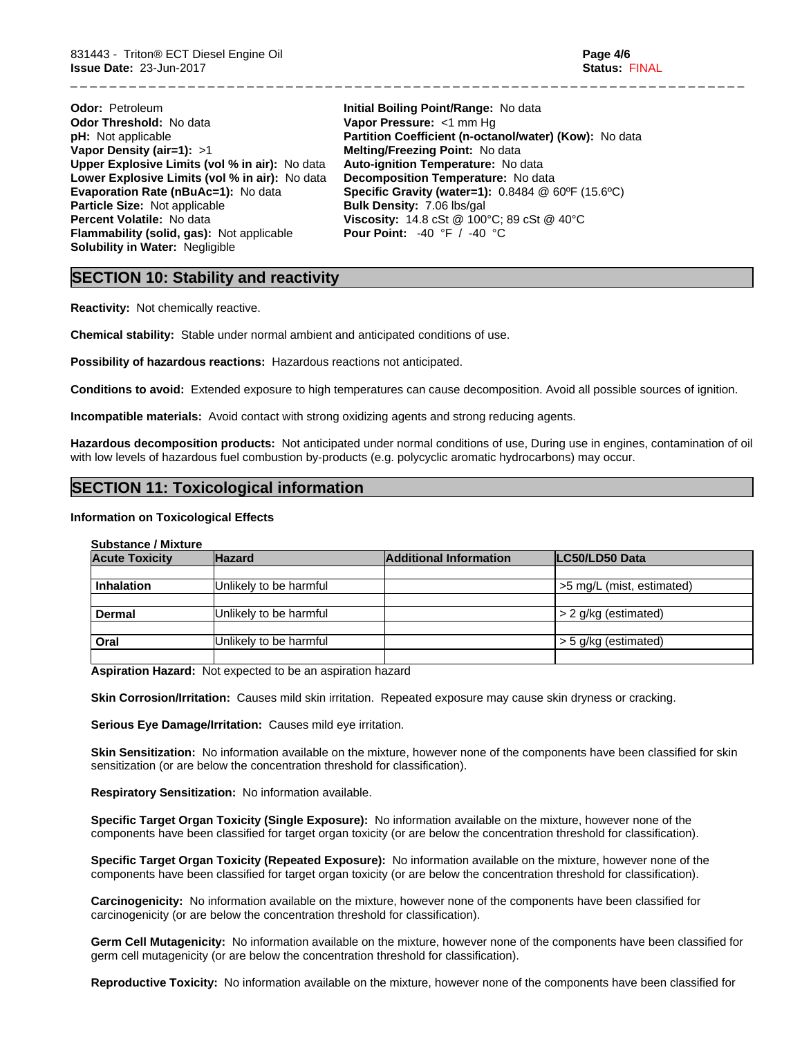| <b>Odor: Petroleum</b>                           | Initial Boiling Point/Range: No data                                       |
|--------------------------------------------------|----------------------------------------------------------------------------|
| <b>Odor Threshold: No data</b>                   | Vapor Pressure: <1 mm Hq                                                   |
| <b>pH:</b> Not applicable                        | Partition Coefficient (n-octanol/water) (Kow): No data                     |
| Vapor Density (air=1): $>1$                      | <b>Melting/Freezing Point: No data</b>                                     |
| Upper Explosive Limits (vol % in air): No data   | Auto-ignition Temperature: No data                                         |
| Lower Explosive Limits (vol % in air): No data   | Decomposition Temperature: No data                                         |
| <b>Evaporation Rate (nBuAc=1): No data</b>       | <b>Specific Gravity (water=1):</b> $0.8484 \& 60^{\circ}F (15.6^{\circ}C)$ |
| Particle Size: Not applicable                    | <b>Bulk Density: 7.06 lbs/gal</b>                                          |
| Percent Volatile: No data                        | <b>Viscosity:</b> 14.8 cSt $@$ 100 $°C$ ; 89 cSt $@$ 40 $°C$               |
| <b>Flammability (solid, gas):</b> Not applicable | <b>Pour Point:</b> $-40$ °F / $-40$ °C                                     |
| <b>Solubility in Water: Negligible</b>           |                                                                            |

### **SECTION 10: Stability and reactivity**

**Reactivity:** Not chemically reactive.

**Chemical stability:** Stable under normal ambient and anticipated conditions of use.

**Possibility of hazardous reactions:** Hazardous reactions not anticipated.

**Conditions to avoid:** Extended exposure to high temperatures can cause decomposition. Avoid all possible sources of ignition.

\_ \_ \_ \_ \_ \_ \_ \_ \_ \_ \_ \_ \_ \_ \_ \_ \_ \_ \_ \_ \_ \_ \_ \_ \_ \_ \_ \_ \_ \_ \_ \_ \_ \_ \_ \_ \_ \_ \_ \_ \_ \_ \_ \_ \_ \_ \_ \_ \_ \_ \_ \_ \_ \_ \_ \_ \_ \_ \_ \_ \_ \_ \_ \_ \_ \_ \_ \_ \_

**Incompatible materials:** Avoid contact with strong oxidizing agents and strong reducing agents.

**Hazardous decomposition products:** Not anticipated under normal conditions of use, During use in engines, contamination of oil with low levels of hazardous fuel combustion by-products (e.g. polycyclic aromatic hydrocarbons) may occur.

### **SECTION 11: Toxicological information**

#### **Information on Toxicological Effects**

| <b>Substance / Mixture</b> |  |
|----------------------------|--|
|----------------------------|--|

| <b>Acute Toxicity</b> | <b>Hazard</b>          | <b>Additional Information</b> | LC50/LD50 Data            |
|-----------------------|------------------------|-------------------------------|---------------------------|
|                       |                        |                               |                           |
| <b>Inhalation</b>     | Unlikely to be harmful |                               | >5 mg/L (mist, estimated) |
|                       |                        |                               |                           |
| Dermal                | Unlikely to be harmful |                               | $> 2$ g/kg (estimated)    |
|                       |                        |                               |                           |
| Oral                  | Unlikely to be harmful |                               | $>$ 5 g/kg (estimated)    |
|                       |                        |                               |                           |

**Aspiration Hazard:** Not expected to be an aspiration hazard

**Skin Corrosion/Irritation:** Causes mild skin irritation. Repeated exposure may cause skin dryness or cracking.

**Serious Eye Damage/Irritation:** Causes mild eye irritation.

**Skin Sensitization:** No information available on the mixture, however none of the components have been classified for skin sensitization (or are below the concentration threshold for classification).

**Respiratory Sensitization:** No information available.

**Specific Target Organ Toxicity (Single Exposure):** No information available on the mixture, however none of the components have been classified for target organ toxicity (or are below the concentration threshold for classification).

**Specific Target Organ Toxicity (Repeated Exposure):** No information available on the mixture, however none of the components have been classified for target organ toxicity (or are below the concentration threshold for classification).

**Carcinogenicity:** No information available on the mixture, however none of the components have been classified for carcinogenicity (or are below the concentration threshold for classification).

**Germ Cell Mutagenicity:** No information available on the mixture, however none of the components have been classified for germ cell mutagenicity (or are below the concentration threshold for classification).

**Reproductive Toxicity:** No information available on the mixture, however none of the components have been classified for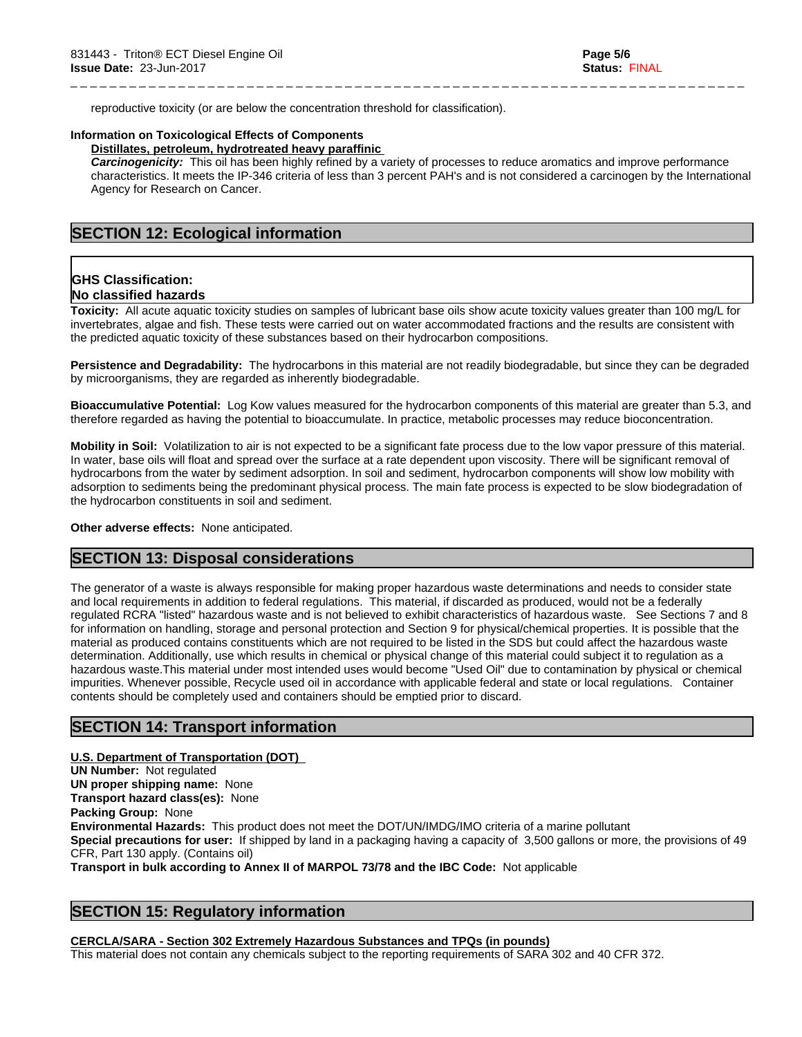reproductive toxicity (or are below the concentration threshold for classification).

### **Information on Toxicological Effects of Components**

### **Distillates, petroleum, hydrotreated heavy paraffinic**

*Carcinogenicity:* This oil has been highly refined by a variety of processes to reduce aromatics and improve performance characteristics. It meets the IP-346 criteria of less than 3 percent PAH's and isnot considered a carcinogen by the International Agency for Research on Cancer.

\_ \_ \_ \_ \_ \_ \_ \_ \_ \_ \_ \_ \_ \_ \_ \_ \_ \_ \_ \_ \_ \_ \_ \_ \_ \_ \_ \_ \_ \_ \_ \_ \_ \_ \_ \_ \_ \_ \_ \_ \_ \_ \_ \_ \_ \_ \_ \_ \_ \_ \_ \_ \_ \_ \_ \_ \_ \_ \_ \_ \_ \_ \_ \_ \_ \_ \_ \_ \_

### **SECTION 12: Ecological information**

### **GHS Classification: No classified hazards**

**Toxicity:** All acute aquatic toxicity studies on samples of lubricant base oils show acute toxicity values greater than 100 mg/L for invertebrates, algae and fish. These tests were carried out on water accommodated fractions and the results are consistent with the predicted aquatic toxicity of these substances based on their hydrocarbon compositions.

**Persistence and Degradability:** The hydrocarbons in this material are not readily biodegradable, but since they can be degraded by microorganisms, they are regarded as inherently biodegradable.

**Bioaccumulative Potential:** Log Kow values measured for the hydrocarbon components of this material are greater than 5.3, and therefore regarded as having the potential to bioaccumulate. In practice, metabolic processes may reduce bioconcentration.

**Mobility in Soil:** Volatilization to air is not expected to be a significant fate process due to the low vapor pressure of this material. In water, base oils will float and spread over the surface at a rate dependent upon viscosity. There will be significant removal of hydrocarbons from the water by sediment adsorption. In soil and sediment, hydrocarbon components will show low mobility with adsorption to sediments being the predominant physical process. The main fate process is expected to be slow biodegradation of the hydrocarbon constituents in soil and sediment.

#### **Other adverse effects:** None anticipated.

### **SECTION 13: Disposal considerations**

The generator of a waste is always responsible for making proper hazardous waste determinations and needs to consider state and local requirements in addition to federal regulations. This material, if discarded as produced, would not be a federally regulated RCRA "listed" hazardous waste and is not believed to exhibit characteristics of hazardous waste. See Sections 7 and 8 for information on handling, storage and personal protection and Section 9 for physical/chemical properties. It is possible that the material as produced contains constituents which are not required to be listed in the SDS but could affect the hazardous waste determination. Additionally, use which results in chemical or physical change of this material could subject it to regulation as a hazardous waste.This material under most intended uses would become "Used Oil" due to contamination by physical or chemical impurities. Whenever possible, Recycle used oil in accordance with applicable federal and state or local regulations. Container contents should be completely used and containers should be emptied prior to discard.

### **SECTION 14: Transport information**

**U.S. Department of Transportation (DOT) UN Number:** Not regulated **UN proper shipping name:** None **Transport hazard class(es):** None **Packing Group:** None **Environmental Hazards:** This product does not meet the DOT/UN/IMDG/IMO criteria of a marine pollutant **Special precautions for user:** If shipped by land in a packaging having a capacity of 3,500 gallons or more, the provisions of 49 CFR, Part 130 apply. (Contains oil) **Transport in bulk according to Annex II of MARPOL 73/78 and the IBC Code:** Not applicable

### **SECTION 15: Regulatory information**

**CERCLA/SARA - Section 302 Extremely Hazardous Substances and TPQs (in pounds)**

This material does not contain any chemicals subject to the reporting requirements of SARA 302 and 40 CFR 372.